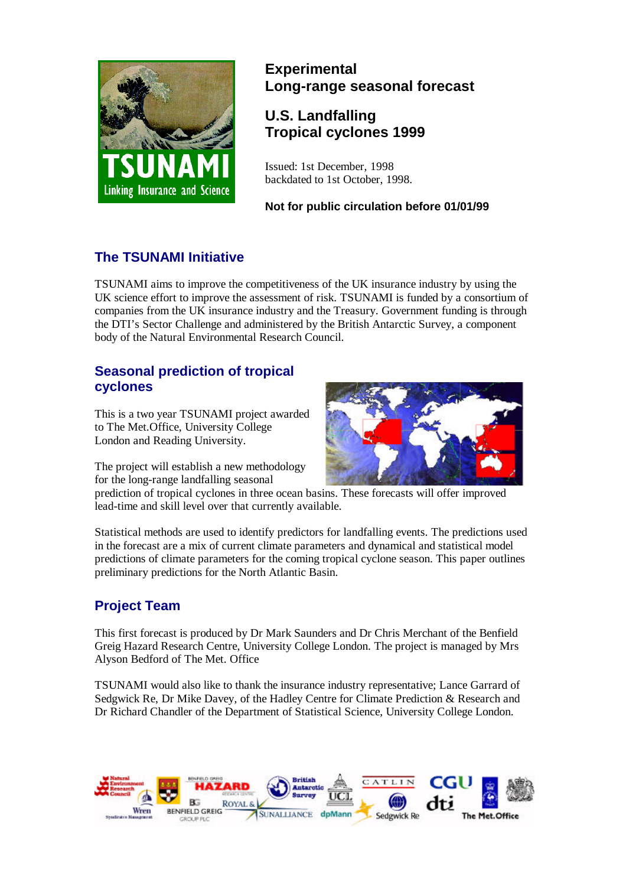

# **Experimental Long-range seasonal forecast**

# **U.S. Landfalling Tropical cyclones 1999**

Issued: 1st December, 1998 backdated to 1st October, 1998.

**Not for public circulation before 01/01/99**

# **The TSUNAMI Initiative**

TSUNAMI aims to improve the competitiveness of the UK insurance industry by using the UK science effort to improve the assessment of risk. TSUNAMI is funded by a consortium of companies from the UK insurance industry and the Treasury. Government funding is through the DTI's Sector Challenge and administered by the British Antarctic Survey, a component body of the Natural Environmental Research Council.

### **Seasonal prediction of tropical cyclones**

This is a two year TSUNAMI project awarded to The Met.Office, University College London and Reading University.

The project will establish a new methodology for the long-range landfalling seasonal



prediction of tropical cyclones in three ocean basins. These forecasts will offer improved lead-time and skill level over that currently available.

Statistical methods are used to identify predictors for landfalling events. The predictions used in the forecast are a mix of current climate parameters and dynamical and statistical model predictions of climate parameters for the coming tropical cyclone season. This paper outlines preliminary predictions for the North Atlantic Basin.

# **Project Team**

This first forecast is produced by Dr Mark Saunders and Dr Chris Merchant of the Benfield Greig Hazard Research Centre, University College London. The project is managed by Mrs Alyson Bedford of The Met. Office

TSUNAMI would also like to thank the insurance industry representative; Lance Garrard of Sedgwick Re, Dr Mike Davey, of the Hadley Centre for Climate Prediction & Research and Dr Richard Chandler of the Department of Statistical Science, University College London.

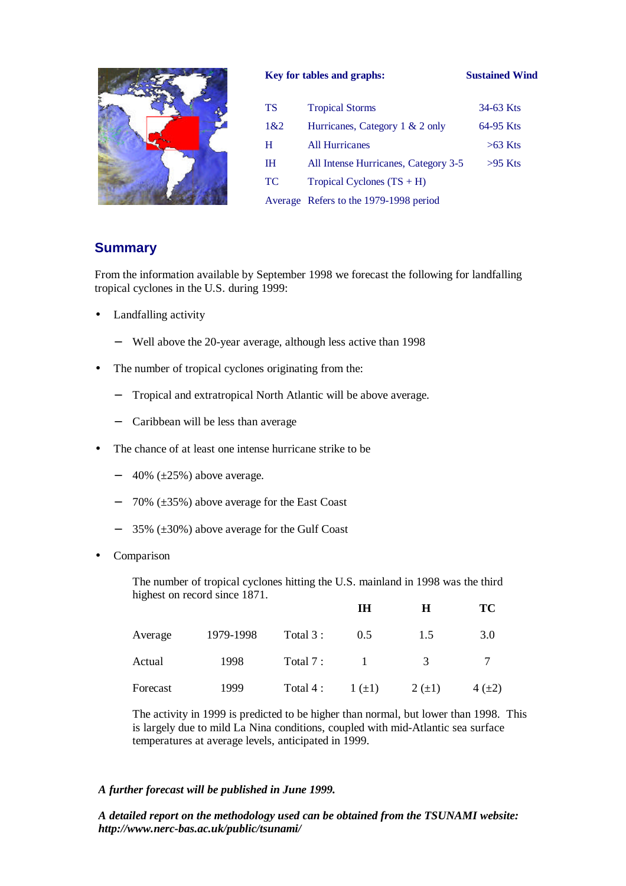

#### **Key for tables and graphs: Sustained Wind**

| TS        | <b>Tropical Storms</b>                 | 34-63 Kts |
|-----------|----------------------------------------|-----------|
| 1&2       | Hurricanes, Category 1 & 2 only        | 64-95 Kts |
| H         | <b>All Hurricanes</b>                  | $>63$ Kts |
| IН        | All Intense Hurricanes, Category 3-5   | $>95$ Kts |
| <b>TC</b> | Tropical Cyclones $(TS + H)$           |           |
|           | Average Refers to the 1979-1998 period |           |

#### **Summary**

From the information available by September 1998 we forecast the following for landfalling tropical cyclones in the U.S. during 1999:

- Landfalling activity
	- − Well above the 20-year average, although less active than 1998
- The number of tropical cyclones originating from the:
	- − Tropical and extratropical North Atlantic will be above average.
	- − Caribbean will be less than average
- The chance of at least one intense hurricane strike to be
	- $-$  40% ( $\pm 25$ %) above average.
	- − 70% (±35%) above average for the East Coast
	- − 35% (±30%) above average for the Gulf Coast
- **Comparison**

The number of tropical cyclones hitting the U.S. mainland in 1998 was the third highest on record since 1871.

|          |           |           | IH       | Н             | TC         |
|----------|-----------|-----------|----------|---------------|------------|
| Average  | 1979-1998 | Total 3 : | 0.5      | 1.5           | 3.0        |
| Actual   | 1998      | Total 7:  |          | $\mathcal{R}$ |            |
| Forecast | 1999      | Total 4 : | $1 (+1)$ | $2 (+1)$      | $4(\pm 2)$ |

The activity in 1999 is predicted to be higher than normal, but lower than 1998. This is largely due to mild La Nina conditions, coupled with mid-Atlantic sea surface temperatures at average levels, anticipated in 1999.

#### *A further forecast will be published in June 1999.*

*A detailed report on the methodology used can be obtained from the TSUNAMI website: http://www.nerc-bas.ac.uk/public/tsunami/*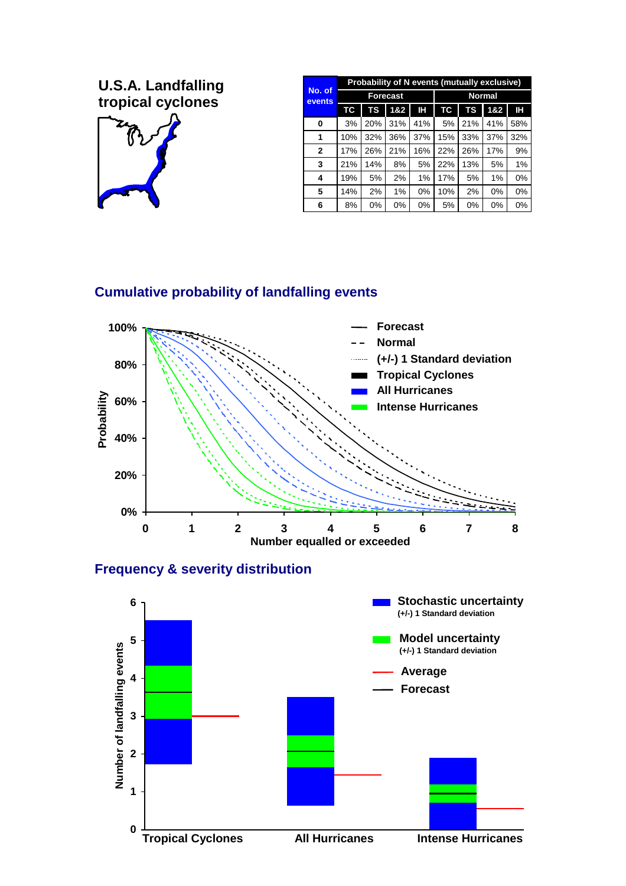**U.S.A. Landfalling**  $\overline{C}$  **tropical cyclones** 



| No. of<br>events | Probability of N events (mutually exclusive) |     |     |     |               |     |     |       |
|------------------|----------------------------------------------|-----|-----|-----|---------------|-----|-----|-------|
|                  | Forecast                                     |     |     |     | <b>Normal</b> |     |     |       |
|                  | ТC                                           | TS  | 1&2 | Н   | TC            | TS  | 1&2 | Н     |
| 0                | 3%                                           | 20% | 31% | 41% | 5%            | 21% | 41% | 58%   |
| 1                | 10%                                          | 32% | 36% | 37% | 15%           | 33% | 37% | 32%   |
| $\mathbf{2}$     | 17%                                          | 26% | 21% | 16% | 22%           | 26% | 17% | 9%    |
| 3                | 21%                                          | 14% | 8%  | 5%  | 22%           | 13% | 5%  | 1%    |
| 4                | 19%                                          | 5%  | 2%  | 1%  | 17%           | 5%  | 1%  | $0\%$ |
| 5                | 14%                                          | 2%  | 1%  | 0%  | 10%           | 2%  | 0%  | $0\%$ |
| 6                | 8%                                           | 0%  | 0%  | 0%  | 5%            | 0%  | 0%  | 0%    |

## **Cumulative probability of landfalling events**



#### **Frequency & severity distribution**

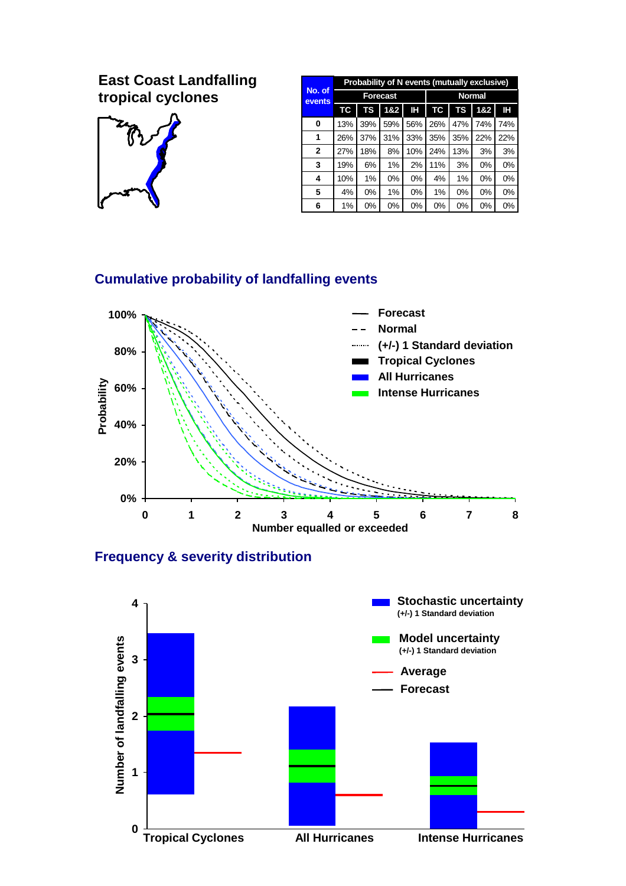# **East Coast Landfalling tropical cyclones**



| No. of<br>events | Probability of N events (mutually exclusive) |       |     |       |               |     |       |       |
|------------------|----------------------------------------------|-------|-----|-------|---------------|-----|-------|-------|
|                  | <b>Forecast</b>                              |       |     |       | <b>Normal</b> |     |       |       |
|                  | <b>TC</b>                                    | TS    | 1&2 | Н     | TC            | TS  | 182   | H     |
| 0                | 13%                                          | 39%   | 59% | 56%   | 26%           | 47% | 74%   | 74%   |
| 1                | 26%                                          | 37%   | 31% | 33%   | 35%           | 35% | 22%   | 22%   |
| $\mathbf{2}$     | 27%                                          | 18%   | 8%  | 10%   | 24%           | 13% | 3%    | 3%    |
| 3                | 19%                                          | 6%    | 1%  | 2%    | 11%           | 3%  | 0%    | 0%    |
| 4                | 10%                                          | $1\%$ | 0%  | $0\%$ | 4%            | 1%  | $0\%$ | $0\%$ |
| 5                | 4%                                           | 0%    | 1%  | 0%    | 1%            | 0%  | 0%    | 0%    |
| 6                | 1%                                           | 0%    | 0%  | 0%    | 0%            | 0%  | 0%    | 0%    |

# **Cumulative probability of landfalling events**



## **Frequency & severity distribution**